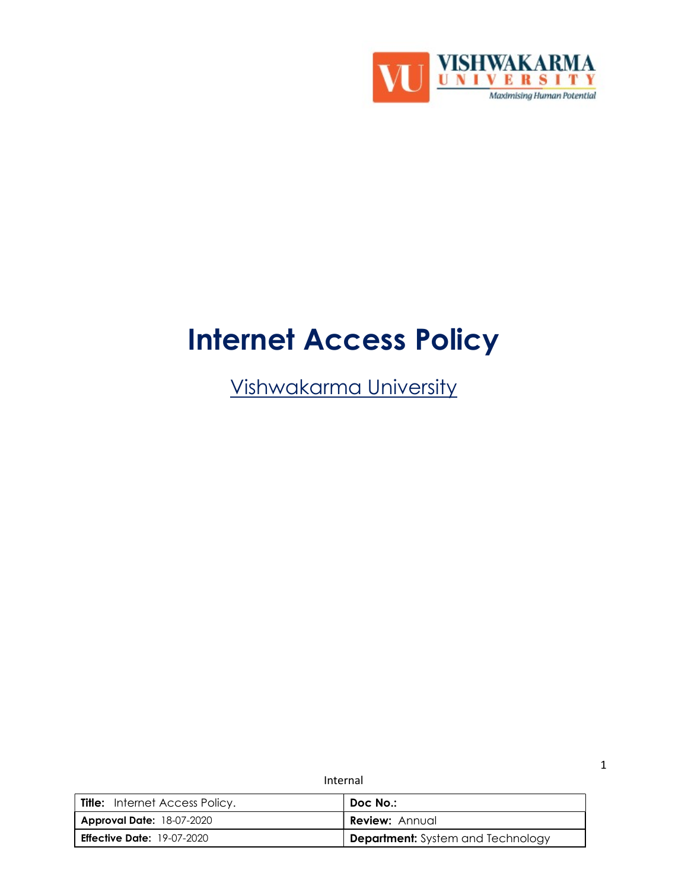

# Internet Access Policy

Vishwakarma University

Internal

| <b>Title:</b> Internet Access Policy. | Doc No.:                                 |
|---------------------------------------|------------------------------------------|
| <b>Approval Date: 18-07-2020</b>      | <b>Review: Annual</b>                    |
| <b>Effective Date: 19-07-2020</b>     | <b>Department:</b> System and Technology |

1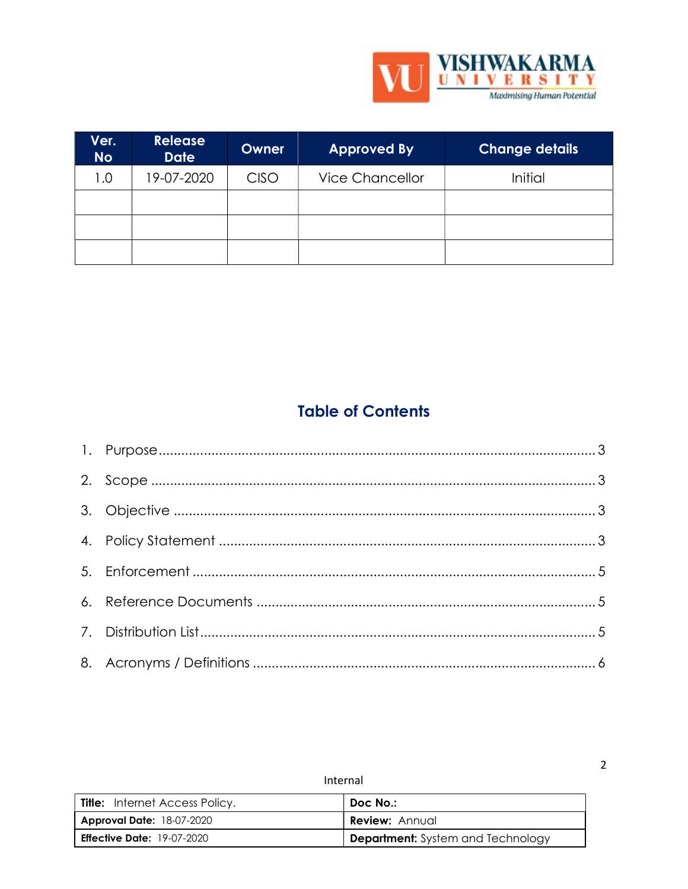

 $\overline{2}$ 

| Ver.<br><b>No</b> | <b>Release</b><br><b>Date</b> | <b>Owner</b> | <b>Approved By</b>     | <b>Change details</b> |
|-------------------|-------------------------------|--------------|------------------------|-----------------------|
| 1.0               | 19-07-2020                    | CISO         | <b>Vice Chancellor</b> | Initial               |
|                   |                               |              |                        |                       |
|                   |                               |              |                        |                       |
|                   |                               |              |                        |                       |

# **Table of Contents**

| <b>Title:</b> Internet Access Policy. | Doc No.:                          |
|---------------------------------------|-----------------------------------|
| <b>Approval Date: 18-07-2020</b>      | <b>Review: Annual</b>             |
| <b>Effective Date: 19-07-2020</b>     | Department: System and Technology |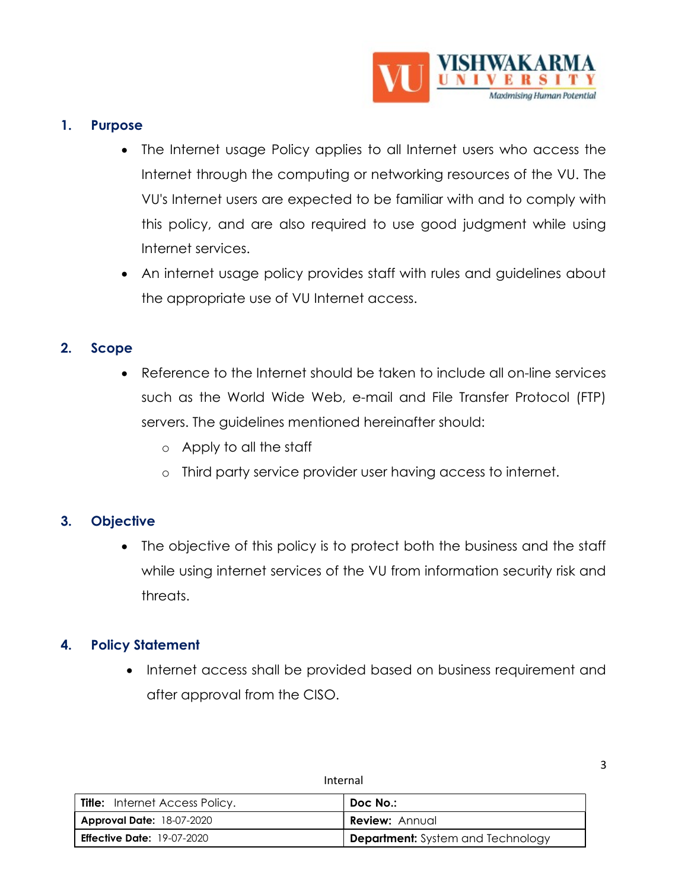

#### 1. Purpose

- The Internet usage Policy applies to all Internet users who access the Internet through the computing or networking resources of the VU. The VU's Internet users are expected to be familiar with and to comply with this policy, and are also required to use good judgment while using Internet services.
- An internet usage policy provides staff with rules and guidelines about the appropriate use of VU Internet access.

#### 2. Scope

- Reference to the Internet should be taken to include all on-line services such as the World Wide Web, e-mail and File Transfer Protocol (FTP) servers. The guidelines mentioned hereinafter should:
	- o Apply to all the staff
	- o Third party service provider user having access to internet.

### 3. Objective

 The objective of this policy is to protect both the business and the staff while using internet services of the VU from information security risk and threats.

### 4. Policy Statement

• Internet access shall be provided based on business requirement and after approval from the CISO.

| <b>Title:</b> Internet Access Policy. | Doc No.:                          |
|---------------------------------------|-----------------------------------|
| <b>Approval Date:</b> 18-07-2020      | Review: Annual                    |
| <b>Effective Date: 19-07-2020</b>     | Department: System and Technology |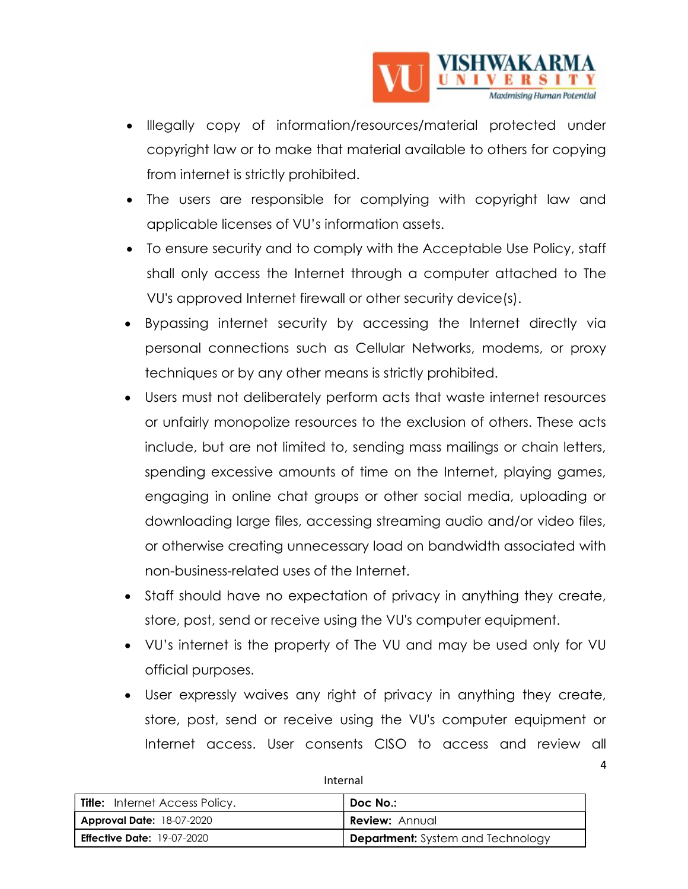

- Illegally copy of information/resources/material protected under copyright law or to make that material available to others for copying from internet is strictly prohibited.
- The users are responsible for complying with copyright law and applicable licenses of VU's information assets.
- To ensure security and to comply with the Acceptable Use Policy, staff shall only access the Internet through a computer attached to The VU's approved Internet firewall or other security device(s).
- Bypassing internet security by accessing the Internet directly via personal connections such as Cellular Networks, modems, or proxy techniques or by any other means is strictly prohibited.
- Users must not deliberately perform acts that waste internet resources or unfairly monopolize resources to the exclusion of others. These acts include, but are not limited to, sending mass mailings or chain letters, spending excessive amounts of time on the Internet, playing games, engaging in online chat groups or other social media, uploading or downloading large files, accessing streaming audio and/or video files, or otherwise creating unnecessary load on bandwidth associated with non-business-related uses of the Internet.
- Staff should have no expectation of privacy in anything they create, store, post, send or receive using the VU's computer equipment.
- VU's internet is the property of The VU and may be used only for VU official purposes.
- User expressly waives any right of privacy in anything they create, store, post, send or receive using the VU's computer equipment or Internet access. User consents CISO to access and review all

4

| <b>Title:</b> Internet Access Policy. | Doc No.:                                 |
|---------------------------------------|------------------------------------------|
| <b>Approval Date: 18-07-2020</b>      | <b>Review: Annual</b>                    |
| <b>Effective Date:</b> 19-07-2020     | <b>Department:</b> System and Technology |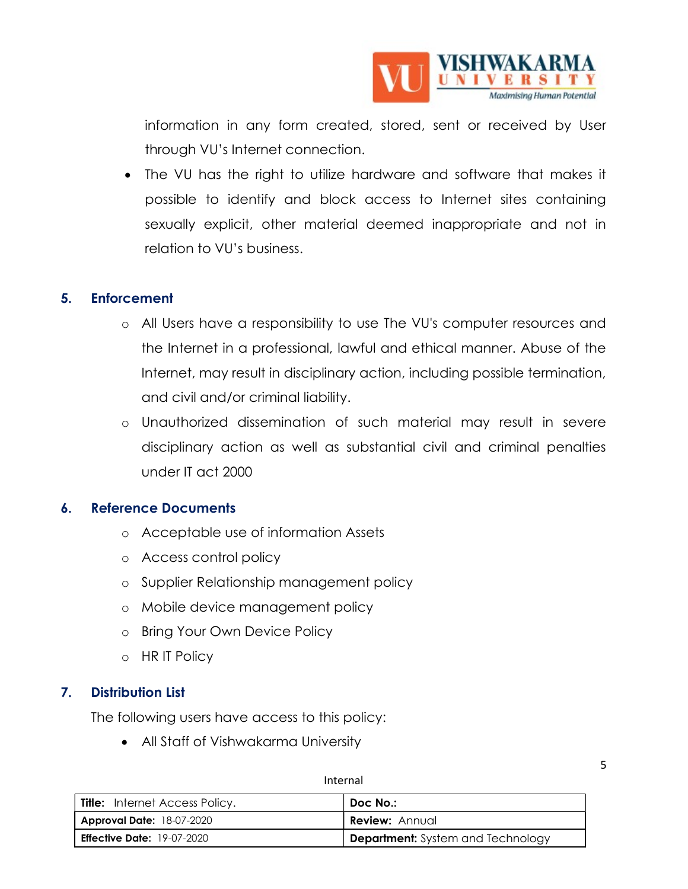

information in any form created, stored, sent or received by User through VU's Internet connection.

 The VU has the right to utilize hardware and software that makes it possible to identify and block access to Internet sites containing sexually explicit, other material deemed inappropriate and not in relation to VU's business.

#### 5. Enforcement

- o All Users have a responsibility to use The VU's computer resources and the Internet in a professional, lawful and ethical manner. Abuse of the Internet, may result in disciplinary action, including possible termination, and civil and/or criminal liability.
- o Unauthorized dissemination of such material may result in severe disciplinary action as well as substantial civil and criminal penalties under IT act 2000

#### 6. Reference Documents

- o Acceptable use of information Assets
- o Access control policy
- o Supplier Relationship management policy
- o Mobile device management policy
- o Bring Your Own Device Policy
- o HR IT Policy

#### 7. Distribution List

The following users have access to this policy:

All Staff of Vishwakarma University

5

| <b>Title:</b> Internet Access Policy. | Doc No.:                                 |
|---------------------------------------|------------------------------------------|
| <b>Approval Date: 18-07-2020</b>      | <b>Review: Annual</b>                    |
| <b>Effective Date: 19-07-2020</b>     | <b>Department:</b> System and Technology |